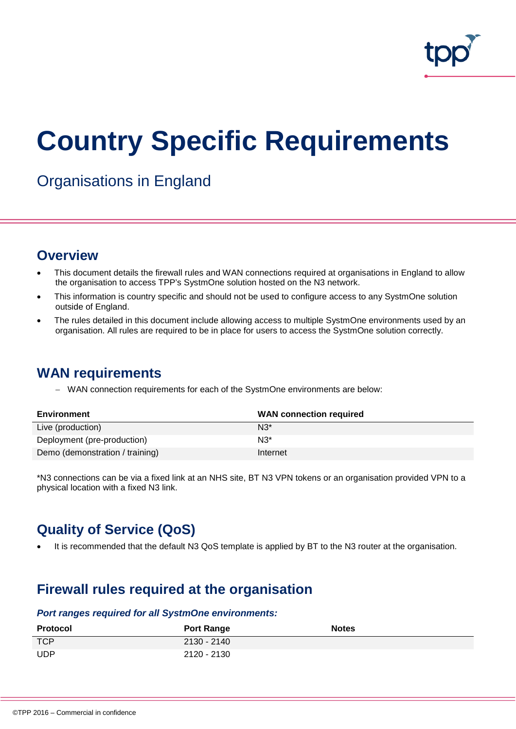

# **Country Specific Requirements**

Organisations in England

## **Overview**

- This document details the firewall rules and WAN connections required at organisations in England to allow the organisation to access TPP's SystmOne solution hosted on the N3 network.
- This information is country specific and should not be used to configure access to any SystmOne solution outside of England.
- The rules detailed in this document include allowing access to multiple SystmOne environments used by an organisation. All rules are required to be in place for users to access the SystmOne solution correctly.

## **WAN requirements**

− WAN connection requirements for each of the SystmOne environments are below:

| Environment                     | <b>WAN</b> connection required |
|---------------------------------|--------------------------------|
| Live (production)               | $N3^*$                         |
| Deployment (pre-production)     | $N3^*$                         |
| Demo (demonstration / training) | Internet                       |

\*N3 connections can be via a fixed link at an NHS site, BT N3 VPN tokens or an organisation provided VPN to a physical location with a fixed N3 link.

# **Quality of Service (QoS)**

It is recommended that the default N3 QoS template is applied by BT to the N3 router at the organisation.

# **Firewall rules required at the organisation**

#### *Port ranges required for all SystmOne environments:*

| <b>Protocol</b> | <b>Port Range</b> | <b>Notes</b> |
|-----------------|-------------------|--------------|
| <b>TCP</b>      | 2130 - 2140       |              |
| <b>UDP</b>      | 2120 - 2130       |              |